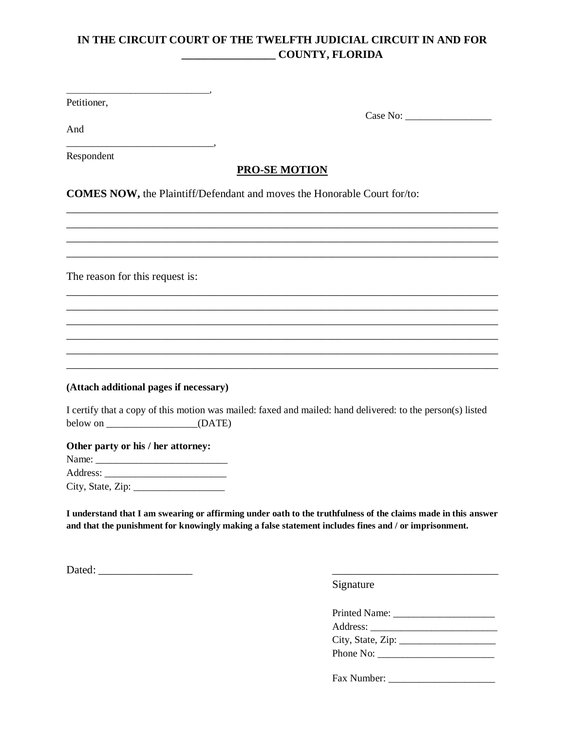# **IN THE CIRCUIT COURT OF THE TWELFTH JUDICIAL CIRCUIT IN AND FOR \_\_\_\_\_\_\_\_\_\_\_\_\_\_\_\_\_ COUNTY, FLORIDA**

Petitioner,

Case No: \_\_\_\_\_\_\_\_\_\_\_\_\_\_\_\_\_

And \_\_\_\_\_\_\_\_\_\_\_\_\_\_\_\_\_\_\_\_\_\_\_\_\_\_\_\_\_,

Respondent

## **PRO-SE MOTION**

\_\_\_\_\_\_\_\_\_\_\_\_\_\_\_\_\_\_\_\_\_\_\_\_\_\_\_\_\_\_\_\_\_\_\_\_\_\_\_\_\_\_\_\_\_\_\_\_\_\_\_\_\_\_\_\_\_\_\_\_\_\_\_\_\_\_\_\_\_\_\_\_\_\_\_\_\_\_ \_\_\_\_\_\_\_\_\_\_\_\_\_\_\_\_\_\_\_\_\_\_\_\_\_\_\_\_\_\_\_\_\_\_\_\_\_\_\_\_\_\_\_\_\_\_\_\_\_\_\_\_\_\_\_\_\_\_\_\_\_\_\_\_\_\_\_\_\_\_\_\_\_\_\_\_\_\_ \_\_\_\_\_\_\_\_\_\_\_\_\_\_\_\_\_\_\_\_\_\_\_\_\_\_\_\_\_\_\_\_\_\_\_\_\_\_\_\_\_\_\_\_\_\_\_\_\_\_\_\_\_\_\_\_\_\_\_\_\_\_\_\_\_\_\_\_\_\_\_\_\_\_\_\_\_\_ \_\_\_\_\_\_\_\_\_\_\_\_\_\_\_\_\_\_\_\_\_\_\_\_\_\_\_\_\_\_\_\_\_\_\_\_\_\_\_\_\_\_\_\_\_\_\_\_\_\_\_\_\_\_\_\_\_\_\_\_\_\_\_\_\_\_\_\_\_\_\_\_\_\_\_\_\_\_

\_\_\_\_\_\_\_\_\_\_\_\_\_\_\_\_\_\_\_\_\_\_\_\_\_\_\_\_\_\_\_\_\_\_\_\_\_\_\_\_\_\_\_\_\_\_\_\_\_\_\_\_\_\_\_\_\_\_\_\_\_\_\_\_\_\_\_\_\_\_\_\_\_\_\_\_\_\_ \_\_\_\_\_\_\_\_\_\_\_\_\_\_\_\_\_\_\_\_\_\_\_\_\_\_\_\_\_\_\_\_\_\_\_\_\_\_\_\_\_\_\_\_\_\_\_\_\_\_\_\_\_\_\_\_\_\_\_\_\_\_\_\_\_\_\_\_\_\_\_\_\_\_\_\_\_\_ \_\_\_\_\_\_\_\_\_\_\_\_\_\_\_\_\_\_\_\_\_\_\_\_\_\_\_\_\_\_\_\_\_\_\_\_\_\_\_\_\_\_\_\_\_\_\_\_\_\_\_\_\_\_\_\_\_\_\_\_\_\_\_\_\_\_\_\_\_\_\_\_\_\_\_\_\_\_ \_\_\_\_\_\_\_\_\_\_\_\_\_\_\_\_\_\_\_\_\_\_\_\_\_\_\_\_\_\_\_\_\_\_\_\_\_\_\_\_\_\_\_\_\_\_\_\_\_\_\_\_\_\_\_\_\_\_\_\_\_\_\_\_\_\_\_\_\_\_\_\_\_\_\_\_\_\_ \_\_\_\_\_\_\_\_\_\_\_\_\_\_\_\_\_\_\_\_\_\_\_\_\_\_\_\_\_\_\_\_\_\_\_\_\_\_\_\_\_\_\_\_\_\_\_\_\_\_\_\_\_\_\_\_\_\_\_\_\_\_\_\_\_\_\_\_\_\_\_\_\_\_\_\_\_\_ \_\_\_\_\_\_\_\_\_\_\_\_\_\_\_\_\_\_\_\_\_\_\_\_\_\_\_\_\_\_\_\_\_\_\_\_\_\_\_\_\_\_\_\_\_\_\_\_\_\_\_\_\_\_\_\_\_\_\_\_\_\_\_\_\_\_\_\_\_\_\_\_\_\_\_\_\_\_

**COMES NOW,** the Plaintiff/Defendant and moves the Honorable Court for/to:

The reason for this request is:

\_\_\_\_\_\_\_\_\_\_\_\_\_\_\_\_\_\_\_\_\_\_\_\_\_\_\_\_\_\_\_,

### **(Attach additional pages if necessary)**

I certify that a copy of this motion was mailed: faxed and mailed: hand delivered: to the person(s) listed below on \_\_\_\_\_\_\_\_\_\_\_\_\_\_\_\_\_\_\_\_\_(DATE)

**Other party or his / her attorney:**

Name: \_\_\_\_\_\_\_\_\_\_\_\_\_\_\_\_\_\_\_\_\_\_\_\_\_\_ Address: City, State, Zip: \_\_\_\_\_\_\_\_\_\_\_\_\_\_\_\_\_\_

**I understand that I am swearing or affirming under oath to the truthfulness of the claims made in this answer and that the punishment for knowingly making a false statement includes fines and / or imprisonment.**

Dated: \_\_\_\_\_\_\_\_\_\_\_\_\_\_\_\_\_ \_\_\_\_\_\_\_\_\_\_\_\_\_\_\_\_\_\_\_\_\_\_\_\_\_\_\_\_\_\_

Signature

| Printed Name:                    |
|----------------------------------|
|                                  |
| City, State, $\rm Zip:\_\_\_\_\$ |
| Phone No:                        |
|                                  |

Fax Number: